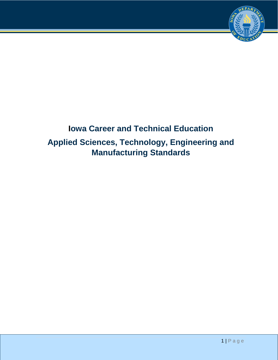

# **Iowa Career and Technical Education Applied Sciences, Technology, Engineering and Manufacturing Standards**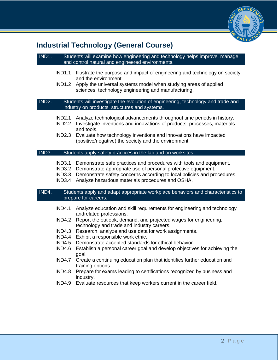

# **Industrial Technology (General Course)**

### IND1. Students will examine how engineering and technology helps improve, manage and control natural and engineered environments.

- IND1.1 Illustrate the purpose and impact of engineering and technology on society and the environment
- IND1.2 Apply the universal systems model when studying areas of applied sciences, technology engineering and manufacturing.

IND2. Students will investigate the evolution of engineering, technology and trade and industry on products, structures and systems.

- IND2.1 Analyze technological advancements throughout time periods in history.
- IND2.2 Investigate inventions and innovations of products, processes, materials and tools.
- IND2.3 Evaluate how technology inventions and innovations have impacted (positive/negative) the society and the environment.

#### IND3. Students apply safety practices in the lab and on worksites.

- IND3.1 Demonstrate safe practices and procedures with tools and equipment.
- IND3.2 Demonstrate appropriate use of personal protective equipment.
- IND3.3 Demonstrate safety concerns according to local policies and procedures.
- IND3.4 Analyze hazardous materials procedures and OSHA.

#### IND4. Students apply and adapt appropriate workplace behaviors and characteristics to prepare for careers.

- IND4.1 Analyze education and skill requirements for engineering and technology andrelated professions.
- IND4.2 Report the outlook, demand, and projected wages for engineering, technology and trade and industry careers.
- IND4.3 Research, analyze and use data for work assignments.
- IND4.4 Exhibit a responsible work ethic.
- IND4.5 Demonstrate accepted standards for ethical behavior.
- IND4.6 Establish a personal career goal and develop objectives for achieving the goal.
- IND4.7 Create a continuing education plan that identifies further education and training options.
- IND4.8 Prepare for exams leading to certifications recognized by business and industry.
- IND4.9 Evaluate resources that keep workers current in the career field.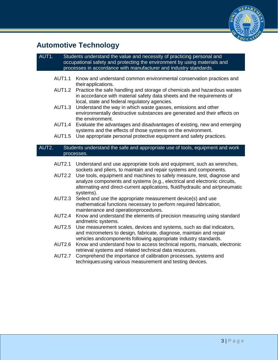

# **Automotive Technology**

#### AUT1. Students understand the value and necessity of practicing personal and occupational safety and protecting the environment by using materials and processes in accordance with manufacturer and industry standards.

- AUT1.1 Know and understand common environmental conservation practices and their applications.
- AUT1.2 Practice the safe handling and storage of chemicals and hazardous wastes in accordance with material safety data sheets and the requirements of local, state and federal regulatory agencies.
- AUT1.3 Understand the way in which waste gasses, emissions and other environmentally destructive substances are generated and their effects on the environment.
- AUT1.4 Evaluate the advantages and disadvantages of existing, new and emerging systems and the effects of those systems on the environment.
- AUT1.5 Use appropriate personal protective equipment and safety practices.

#### AUT2. Students understand the safe and appropriate use of tools, equipment and work processes.

- AUT2.1 Understand and use appropriate tools and equipment, such as wrenches, sockets and pliers, to maintain and repair systems and components.
- AUT2.2 Use tools, equipment and machines to safely measure, test, diagnose and analyze components and systems (e.g., electrical and electronic circuits, alternating-and direct-current applications, fluid/hydraulic and air/pneumatic systems).
- AUT2.3 Select and use the appropriate measurement device(s) and use mathematical functions necessary to perform required fabrication, maintenance and operationprocedures.
- AUT2.4 Know and understand the elements of precision measuring using standard andmetric systems.
- AUT2.5 Use measurement scales, devices and systems, such as dial indicators, and micrometers to design, fabricate, diagnose, maintain and repair vehicles andcomponents following appropriate industry standards.
- AUT2.6 Know and understand how to access technical reports, manuals, electronic retrieval systems and related technical data resources.
- AUT2.7 Comprehend the importance of calibration processes, systems and techniques using various measurement and testing devices.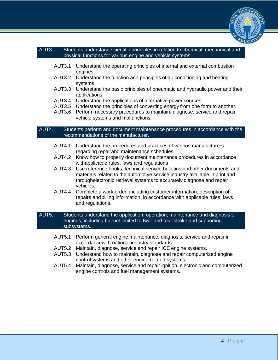

#### AUT3. Students understand scientific principles in relation to chemical, mechanical and physical functions for various engine and vehicle systems.

- AUT3.1 Understand the operating principles of internal and external combustion engines.
- AUT3.2 Understand the function and principles of air conditioning and heating systems.
- AUT3.3 Understand the basic principles of pneumatic and hydraulic power and their applications.
- AUT3.4 Understand the applications of alternative power sources.
- AUT3.5 Understand the principles of converting energy from one form to another.
- AUT3.6 Perform necessary procedures to maintain, diagnose, service and repair vehicle systems and malfunctions.

#### AUT4. Students perform and document maintenance procedures in accordance with the recommendations of the manufacturer.

- AUT4.1 Understand the procedures and practices of various manufacturers regarding repairand maintenance schedules.
- AUT4.2 Know how to properly document maintenance procedures in accordance withapplicable rules, laws and regulations
- AUT4.3 Use reference books, technical service bulletins and other documents and materials related to the automotive service industry available in print and throughelectronic retrieval systems to accurately diagnose and repair vehicles.
- AUT4.4 Complete a work order, including customer information, description of repairs and billing information, in accordance with applicable rules, laws and regulations.

#### AUT5. Students understand the application, operation, maintenance and diagnosis of engines, including but not limited to two- and four-stroke and supporting subsystems.

- AUT5.1 Perform general engine maintenance, diagnosis, service and repair in accordancewith national industry standards.
- AUT5.2 Maintain, diagnose, service and repair ICE engine systems.
- AUT5.3 Understand how to maintain, diagnose and repair computerized engine control systems and other engine-related systems.
- AUT5.4 Maintain, diagnose, service and repair ignition, electronic and computerized engine controls and fuel management systems.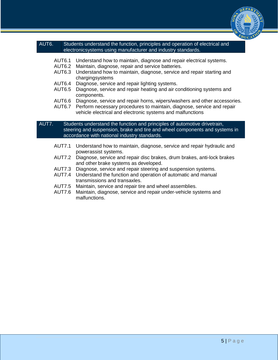

#### AUT6. Students understand the function, principles and operation of electrical and electronicsystems using manufacturer and industry standards.

- AUT6.1 Understand how to maintain, diagnose and repair electrical systems.
- AUT6.2 Maintain, diagnose, repair and service batteries.
- AUT6.3 Understand how to maintain, diagnose, service and repair starting and chargingsystems
- AUT6.4 Diagnose, service and repair lighting systems.
- AUT6.5 Diagnose, service and repair heating and air conditioning systems and components.
- AUT6.6 Diagnose, service and repair horns, wipers/washers and other accessories.
- AUT6.7 Perform necessary procedures to maintain, diagnose, service and repair vehicle electrical and electronic systems and malfunctions

#### AUT7. Students understand the function and principles of automotive drivetrain, steering and suspension, brake and tire and wheel components and systems in accordance with national industry standards.

- AUT7.1 Understand how to maintain, diagnose, service and repair hydraulic and powerassist systems.
- AUT7.2 Diagnose, service and repair disc brakes, drum brakes, anti-lock brakes and other brake systems as developed.
- AUT7.3 Diagnose, service and repair steering and suspension systems.
- AUT7.4 Understand the function and operation of automatic and manual transmissions and transaxles.
- AUT7.5 Maintain, service and repair tire and wheel assemblies.
- AUT7.6 Maintain, diagnose, service and repair under-vehicle systems and malfunctions.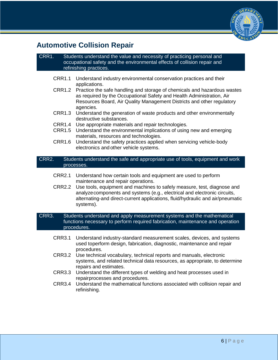

# **Automotive Collision Repair**

#### CRR1. Students understand the value and necessity of practicing personal and occupational safety and the environmental effects of collision repair and refinishing practices.

- CRR1.1 Understand industry environmental conservation practices and their applications.
- CRR1.2 Practice the safe handling and storage of chemicals and hazardous wastes as required by the Occupational Safety and Health Administration, Air Resources Board, Air Quality Management Districts and other regulatory agencies.
- CRR1.3 Understand the generation of waste products and other environmentally destructive substances.
- CRR1.4 Use appropriate materials and repair technologies.
- CRR1.5 Understand the environmental implications of using new and emerging materials, resources and technologies.
- CRR1.6 Understand the safety practices applied when servicing vehicle-body electronics and other vehicle systems.

#### CRR2. Students understand the safe and appropriate use of tools, equipment and work processes.

- CRR2.1 Understand how certain tools and equipment are used to perform maintenance and repair operations.
- CRR2.2 Use tools, equipment and machines to safely measure, test, diagnose and analyze components and systems (e.g., electrical and electronic circuits, alternating-and direct-current applications, fluid/hydraulic and air/pneumatic systems).

#### CRR3. Students understand and apply measurement systems and the mathematical functions necessary to perform required fabrication, maintenance and operation procedures.

- CRR3.1 Understand industry-standard measurement scales, devices, and systems used toperform design, fabrication, diagnostic, maintenance and repair procedures.
- CRR3.2 Use technical vocabulary, technical reports and manuals, electronic systems, and related technical data resources, as appropriate, to determine repairs and estimates.
- CRR3.3 Understand the different types of welding and heat processes used in repairprocesses and procedures.
- CRR3.4 Understand the mathematical functions associated with collision repair and refinishing.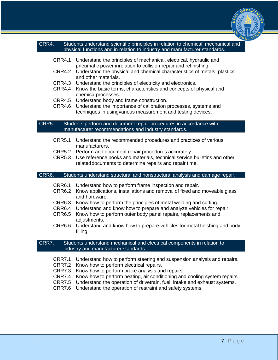

| CRR4. | Students understand scientific principles in relation to chemical, mechanical and |
|-------|-----------------------------------------------------------------------------------|
|       | physical functions and in relation to industry and manufacturer standards.        |

- CRR4.1 Understand the principles of mechanical, electrical, hydraulic and pneumatic power inrelation to collision repair and refinishing.
- CRR4.2 Understand the physical and chemical characteristics of metals, plastics and other materials.
- CRR4.3 Understand the principles of electricity and electronics.
- CRR4.4 Know the basic terms, characteristics and concepts of physical and chemical processes.
- CRR4.5 Understand body and frame construction.
- CRR4.6 Understand the importance of calibration processes, systems and techniques in usingvarious measurement and testing devices.

#### CRR5. Students perform and document repair procedures in accordance with manufacturer recommendations and industry standards.

- CRR5.1 Understand the recommended procedures and practices of various manufacturers.
- CRR5.2 Perform and document repair procedures accurately.
- CRR5.3 Use reference books and materials, technical service bulletins and other related documents to determine repairs and repair time.

#### CRR6. Students understand structural and nonstructural analysis and damage repair.

- CRR6.1 Understand how to perform frame inspection and repair.
- CRR6.2 Know applications, installations and removal of fixed and moveable glass and hardware.
- CRR6.3 Know how to perform the principles of metal welding and cutting.
- CRR6.4 Understand and know how to prepare and analyze vehicles for repair.
- CRR6.5 Know how to perform outer body panel repairs, replacements and adiustments.
- CRR6.6 Understand and know how to prepare vehicles for metal finishing and body filling.

CRR7. Students understand mechanical and electrical components in relation to industry and manufacturer standards.

- CRR7.1 Understand how to perform steering and suspension analysis and repairs.
- CRR7.2 Know how to perform electrical repairs.
- CRR7.3 Know how to perform brake analysis and repairs.
- CRR7.4 Know how to perform heating, air conditioning and cooling system repairs.
- CRR7.5 Understand the operation of drivetrain, fuel, intake and exhaust systems.
- CRR7.6 Understand the operation of restraint and safety systems.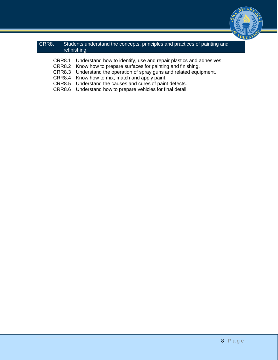

### CRR8. Students understand the concepts, principles and practices of painting and refinishing.

- CRR8.1 Understand how to identify, use and repair plastics and adhesives.
- CRR8.2 Know how to prepare surfaces for painting and finishing.
- CRR8.3 Understand the operation of spray guns and related equipment.
- CRR8.4 Know how to mix, match and apply paint.
- CRR8.5 Understand the causes and cures of paint defects.
- CRR8.6 Understand how to prepare vehicles for final detail.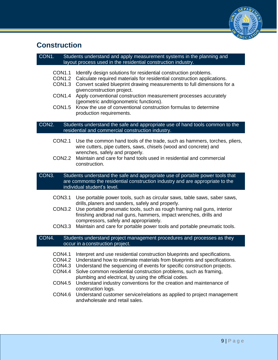

# **Construction**

#### CON1. Students understand and apply measurement systems in the planning and layout process used in the residential construction industry.

- CON1.1 Identify design solutions for residential construction problems.
- CON1.2 Calculate required materials for residential construction applications.
- CON1.3 Convert scaled blueprint drawing measurements to full dimensions for a given construction project.
- CON1.4 Apply conventional construction measurement processes accurately (geometric andtrigonometric functions).
- CON1.5 Know the use of conventional construction formulas to determine production requirements.

#### CON2. Students understand the safe and appropriate use of hand tools common to the residential and commercial construction industry.

- CON2.1 Use the common hand tools of the trade, such as hammers, torches, pliers, wire cutters, pipe cutters, saws, chisels (wood and concrete) and wrenches, safely and properly.
- CON2.2 Maintain and care for hand tools used in residential and commercial construction.

CON3. Students understand the safe and appropriate use of portable power tools that are commonto the residential construction industry and are appropriate to the individual student's level.

- CON3.1 Use portable power tools, such as circular saws, table saws, saber saws, drills, planers and sanders, safely and properly.
- CON3.2 Use portable pneumatic tools, such as rough framing nail guns, interior finishing andbrad nail guns, hammers, impact wrenches, drills and compressors, safely and appropriately.
- CON3.3 Maintain and care for portable power tools and portable pneumatic tools.

#### CON4. Students understand project management procedures and processes as they occur in a construction project.

- CON4.1 Interpret and use residential construction blueprints and specifications.
- CON4.2 Understand how to estimate materials from blueprints and specifications.
- CON4.3 Understand the sequencing of events for specific construction projects.
- CON4.4 Solve common residential construction problems, such as framing, plumbing and electrical, by using the official codes.
- CON4.5 Understand industry conventions for the creation and maintenance of construction logs.
- CON4.6 Understand customer service/relations as applied to project management and wholesale and retail sales.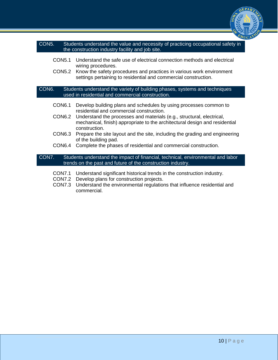

- CON5. Students understand the value and necessity of practicing occupational safety in the construction industry facility and job site.
	- CON5.1 Understand the safe use of electrical connection methods and electrical wiring procedures.
	- CON5.2 Know the safety procedures and practices in various work environment settings pertaining to residential and commercial construction.

CON6. Students understand the variety of building phases, systems and techniques used in residential and commercial construction.

- CON6.1 Develop building plans and schedules by using processes common to residential and commercial construction.
- CON6.2 Understand the processes and materials (e.g., structural, electrical, mechanical, finish) appropriate to the architectural design and residential construction.
- CON6.3 Prepare the site layout and the site, including the grading and engineering of the building pad.
- CON6.4 Complete the phases of residential and commercial construction.

CON7. Students understand the impact of financial, technical, environmental and labor trends on the past and future of the construction industry.

- CON7.1 Understand significant historical trends in the construction industry.
- CON7.2 Develop plans for construction projects.
- CON7.3 Understand the environmental regulations that influence residential and commercial.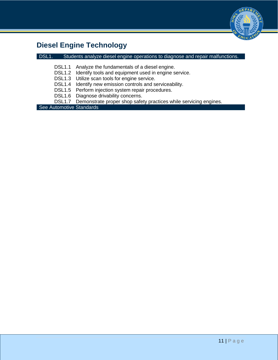

# **Diesel Engine Technology**

### DSL1. Students analyze diesel engine operations to diagnose and repair malfunctions.

- DSL1.1 Analyze the fundamentals of a diesel engine.
- DSL1.2 Identify tools and equipment used in engine service.
- DSL1.3 Utilize scan tools for engine service.
- DSL1.4 Identify new emission controls and serviceability.
- DSL1.5 Perform injection system repair procedures.
- DSL1.6 Diagnose drivability concerns.
- DSL1.7 Demonstrate proper shop safety practices while servicing engines.

See Automotive Standards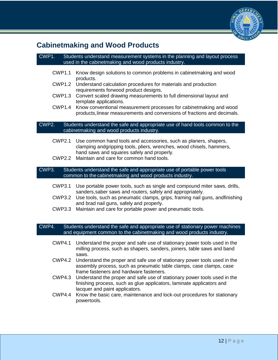

## **Cabinetmaking and Wood Products**

### CWP1. Students understand measurement systems in the planning and layout process used in the cabinetmaking and wood products industry. CWP1.1 Know design solutions to common problems in cabinetmaking and wood products. CWP1.2 Understand calculation procedures for materials and production requirements forwood product designs. CWP1.3 Convert scaled drawing measurements to full dimensional layout and template applications. CWP1.4 Know conventional measurement processes for cabinetmaking and wood products, linear measurements and conversions of fractions and decimals. CWP2. Students understand the safe and appropriate use of hand tools common to the cabinetmaking and wood products industry. CWP2.1 Use common hand tools and accessories, such as planers, shapers, clamping andgripping tools, pliers, wrenches, wood chisels, hammers, hand saws and squares safely and properly. CWP2.2 Maintain and care for common hand tools. CWP3. Students understand the safe and appropriate use of portable power tools common to the cabinetmaking and wood products industry. CWP3.1 Use portable power tools, such as single and compound miter saws, drills, sanders, saber saws and routers, safely and appropriately. CWP3.2 Use tools, such as pneumatic clamps, grips, framing nail guns, andfinishing

- and brad nail guns, safely and properly.
- CWP3.3 Maintain and care for portable power and pneumatic tools.

CWP4. Students understand the safe and appropriate use of stationary power machines and equipment common to the cabinetmaking and wood products industry.

- CWP4.1 Understand the proper and safe use of stationary power tools used in the milling process, such as shapers, sanders, joiners, table saws and band saws.
- CWP4.2 Understand the proper and safe use of stationary power tools used in the assembly process, such as pneumatic table clamps, case clamps, case frame fasteners and hardware fasteners.
- CWP4.3 Understand the proper and safe use of stationary power tools used in the finishing process, such as glue applicators, laminate applicators and lacquer and paint applicators.
- CWP4.4 Know the basic care, maintenance and lock-out procedures for stationary powertools.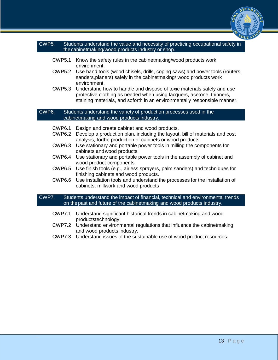

|                                  | the cabinet making/wood products industry or shop.                                                                                                                                                                                                  |
|----------------------------------|-----------------------------------------------------------------------------------------------------------------------------------------------------------------------------------------------------------------------------------------------------|
| <b>CWP5.1</b>                    | Know the safety rules in the cabinet making/wood products work                                                                                                                                                                                      |
|                                  | environment.<br>CWP5.2 Use hand tools (wood chisels, drills, coping saws) and power tools (routers,<br>sanders, planers) safely in the cabinet making/wood products work                                                                            |
|                                  | environment.<br>CWP5.3 Understand how to handle and dispose of toxic materials safely and use<br>protective clothing as needed when using lacquers, acetone, thinners,<br>staining materials, and soforth in an environmentally responsible manner. |
| CWP6.                            | Students understand the variety of production processes used in the<br>cabinet making and wood products industry.                                                                                                                                   |
| CWP <sub>6.1</sub><br>$OMDC$ $Q$ | Design and create cabinet and wood products.<br>Dovelan a production plan, including the loveut, bill of motorials and cost                                                                                                                         |

- CWP6.2 Develop a production plan, including the layout, bill of materials and cost analysis, forthe production of cabinets or wood products.
- CWP6.3 Use stationary and portable power tools in milling the components for cabinets and wood products.
- CWP6.4 Use stationary and portable power tools in the assembly of cabinet and wood product components.
- CWP6.5 Use finish tools (e.g., airless sprayers, palm sanders) and techniques for finishing cabinets and wood products.
- CWP6.6 Use installation tools and understand the processes for the installation of cabinets, millwork and wood products

### CWP7. Students understand the impact of financial, technical and environmental trends on the past and future of the cabinetmaking and wood products industry.

- CWP7.1 Understand significant historical trends in cabinetmaking and wood productstechnology.
- CWP7.2 Understand environmental regulations that influence the cabinetmaking and wood products industry.
- CWP7.3 Understand issues of the sustainable use of wood product resources.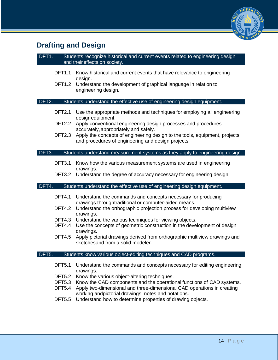

# **Drafting and Design**

| DFT1.<br>Students recognize historical and current events related to engineering design<br>and their effects on society. |                                                                                                                                                                                                                                                                                                                      |  |  |  |
|--------------------------------------------------------------------------------------------------------------------------|----------------------------------------------------------------------------------------------------------------------------------------------------------------------------------------------------------------------------------------------------------------------------------------------------------------------|--|--|--|
| <b>DFT1.1</b>                                                                                                            | Know historical and current events that have relevance to engineering                                                                                                                                                                                                                                                |  |  |  |
| <b>DFT1.2</b>                                                                                                            | design.<br>Understand the development of graphical language in relation to<br>engineering design.                                                                                                                                                                                                                    |  |  |  |
| DFT2.                                                                                                                    | Students understand the effective use of engineering design equipment.                                                                                                                                                                                                                                               |  |  |  |
| <b>DFT2.1</b>                                                                                                            | Use the appropriate methods and techniques for employing all engineering                                                                                                                                                                                                                                             |  |  |  |
| <b>DFT2.2</b>                                                                                                            | designequipment.<br>Apply conventional engineering design processes and procedures                                                                                                                                                                                                                                   |  |  |  |
| <b>DFT2.3</b>                                                                                                            | accurately, appropriately and safely.<br>Apply the concepts of engineering design to the tools, equipment, projects<br>and procedures of engineering and design projects.                                                                                                                                            |  |  |  |
| DFT3.                                                                                                                    | Students understand measurement systems as they apply to engineering design.                                                                                                                                                                                                                                         |  |  |  |
| <b>DFT3.1</b>                                                                                                            | Know how the various measurement systems are used in engineering<br>drawings.                                                                                                                                                                                                                                        |  |  |  |
|                                                                                                                          | DFT3.2 Understand the degree of accuracy necessary for engineering design.                                                                                                                                                                                                                                           |  |  |  |
| DFT4.                                                                                                                    | Students understand the effective use of engineering design equipment.                                                                                                                                                                                                                                               |  |  |  |
| <b>DFT4.1</b>                                                                                                            | Understand the commands and concepts necessary for producing<br>drawings throughtraditional or computer-aided means.                                                                                                                                                                                                 |  |  |  |
| <b>DFT4.2</b>                                                                                                            | Understand the orthographic projection process for developing multiview<br>drawings                                                                                                                                                                                                                                  |  |  |  |
| <b>DFT4.3</b><br>DFT4.4                                                                                                  | Understand the various techniques for viewing objects.<br>Use the concepts of geometric construction in the development of design                                                                                                                                                                                    |  |  |  |
| <b>DFT4.5</b>                                                                                                            | drawings.<br>Apply pictorial drawings derived from orthographic multiview drawings and<br>sketchesand from a solid modeler.                                                                                                                                                                                          |  |  |  |
| DFT5                                                                                                                     | Students know various object-editing techniques and CAD programs.                                                                                                                                                                                                                                                    |  |  |  |
| <b>DFT5.1</b>                                                                                                            | Understand the commands and concepts necessary for editing engineering<br>drawings.                                                                                                                                                                                                                                  |  |  |  |
| <b>DFT5.2</b><br><b>DFT5.3</b><br><b>DFT5.4</b><br><b>DFT5.5</b>                                                         | Know the various object-altering techniques.<br>Know the CAD components and the operational functions of CAD systems.<br>Apply two-dimensional and three-dimensional CAD operations in creating<br>working andpictorial drawings, notes and notations.<br>Understand how to determine properties of drawing objects. |  |  |  |
|                                                                                                                          |                                                                                                                                                                                                                                                                                                                      |  |  |  |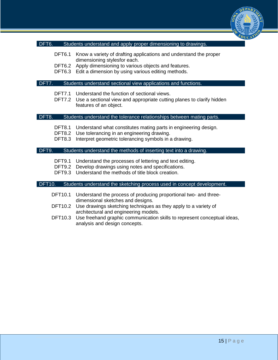

#### DFT6. Students understand and apply proper dimensioning to drawings.

- DFT6.1 Know a variety of drafting applications and understand the proper dimensioning stylesfor each.
- DFT6.2 Apply dimensioning to various objects and features.
- DFT6.3 Edit a dimension by using various editing methods.

#### DFT7. Students understand sectional view applications and functions.

- DFT7.1 Understand the function of sectional views.
- DFT7.2 Use a sectional view and appropriate cutting planes to clarify hidden features of an object.

#### DFT8. Students understand the tolerance relationships between mating parts.

- DFT8.1 Understand what constitutes mating parts in engineering design.
- DFT8.2 Use tolerancing in an engineering drawing.
- DFT8.3 Interpret geometric tolerancing symbols in a drawing.

#### DFT9. Students understand the methods of inserting text into a drawing.

- DFT9.1 Understand the processes of lettering and text editing.
- DFT9.2 Develop drawings using notes and specifications.
- DFT9.3 Understand the methods of title block creation.

#### DFT10. Students understand the sketching process used in concept development.

- DFT10.1 Understand the process of producing proportional two- and threedimensional sketches and designs.
- DFT10.2 Use drawings sketching techniques as they apply to a variety of architectural and engineering models.
- DFT10.3 Use freehand graphic communication skills to represent conceptual ideas, analysis and design concepts.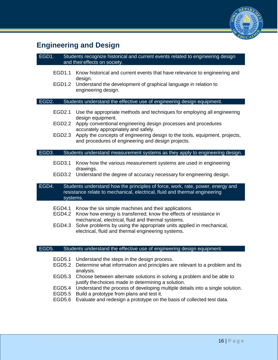

# **Engineering and Design**

| EGD1.              | Students recognize historical and current events related to engineering design<br>and their effects on society.                                                                |
|--------------------|--------------------------------------------------------------------------------------------------------------------------------------------------------------------------------|
| EGD1.1<br>EGD1.2   | Know historical and current events that have relevance to engineering and<br>design.<br>Understand the development of graphical language in relation to<br>engineering design. |
| EGD <sub>2</sub> . | Students understand the effective use of engineering design equipment.                                                                                                         |
| EGD2.1             | Use the appropriate methods and techniques for employing all engineering<br>design equipment.                                                                                  |
| EGD2.2             | Apply conventional engineering design processes and procedures<br>accurately appropriately and safely.                                                                         |
| EGD2.3             | Apply the concepts of engineering design to the tools, equipment, projects,<br>and procedures of engineering and design projects.                                              |
| EGD3.              | Students understand measurement systems as they apply to engineering design.                                                                                                   |
| EGD3.1             | Know how the various measurement systems are used in engineering<br>drawings.                                                                                                  |
|                    | EGD3.2 Understand the degree of accuracy necessary for engineering design.                                                                                                     |
| EGD4.<br>systems.  | Students understand how the principles of force, work, rate, power, energy and<br>resistance relate to mechanical, electrical, fluid and thermal engineering                   |
| EGD4.1             | Know the six simple machines and their applications.<br>$ECDA.2$ Know how aparay is transferred; know the effects of resistance in                                             |

- EGD4.2 Know how energy is transferred; know the effects of resistance in mechanical, electrical, fluid and thermal systems.
- EGD4.3 Solve problems by using the appropriate units applied in mechanical, electrical, fluid and thermal engineering systems.

#### EGD5. Students understand the effective use of engineering design equipment.

- EGD5.1 Understand the steps in the design process.
- EGD5.2 Determine what information and principles are relevant to a problem and its analysis.
- EGD5.3 Choose between alternate solutions in solving a problem and be able to justify the choices made in determining a solution.
- EGD5.4 Understand the process of developing multiple details into a single solution.
- EGD5.5 Build a prototype from plans and test it.
- EGD5.6 Evaluate and redesign a prototype on the basis of collected test data.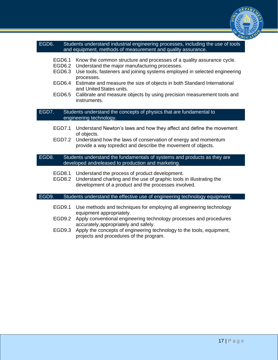

### EGD6. Students understand industrial engineering processes, including the use of tools and equipment, methods of measurement and quality assurance.

- EGD6.1 Know the common structure and processes of a quality assurance cycle.
- EGD6.2 Understand the major manufacturing processes.
- EGD6.3 Use tools, fasteners and joining systems employed in selected engineering processes.
- EGD6.4 Estimate and measure the size of objects in both Standard International and United States units.
- EGD6.5 Calibrate and measure objects by using precision measurement tools and instruments.

EGD7. Students understand the concepts of physics that are fundamental to engineering technology.

- EGD7.1 Understand Newton's laws and how they affect and define the movement of objects.
- EGD7.2 Understand how the laws of conservation of energy and momentum provide a way topredict and describe the movement of objects.

EGD8. Students understand the fundamentals of systems and products as they are developed andreleased to production and marketing.

- EGD8.1 Understand the process of product development.
- EGD8.2 Understand charting and the use of graphic tools in illustrating the development of a product and the processes involved.

#### EGD9. Students understand the effective use of engineering technology equipment.

- EGD9.1 Use methods and techniques for employing all engineering technology equipment appropriately.
- EGD9.2 Apply conventional engineering technology processes and procedures accurately, appropriately and safely.
- EGD9.3 Apply the concepts of engineering technology to the tools, equipment, projects and procedures of the program.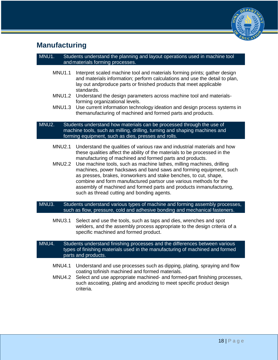

# **Manufacturing**

### MNU1. Students understand the planning and layout operations used in machine tool and materials forming processes.

- MNU1.1 Interpret scaled machine tool and materials forming prints; gather design and materials information; perform calculations and use the detail to plan, lay out andproduce parts or finished products that meet applicable standards.
- MNU1.2 Understand the design parameters across machine tool and materialsforming organizational levels.
- MNU1.3 Use current information technology ideation and design process systems in themanufacturing of machined and formed parts and products.

#### MNU2. Students understand how materials can be processed through the use of machine tools, such as milling, drilling, turning and shaping machines and forming equipment, such as dies, presses and rolls.

- MNU2.1 Understand the qualities of various raw and industrial materials and how these qualities affect the ability of the materials to be processed in the manufacturing of machined and formed parts and products.
- MNU2.2 Use machine tools, such as machine lathes, milling machines, drilling machines, power hacksaws and band saws and forming equipment, such as presses, brakes, ironworkers and stake benches, to cut, shape, combine and form manufactured partsor use various methods for the assembly of machined and formed parts and products inmanufacturing, such as thread cutting and bonding agents.

#### MNU3. Students understand various types of machine and forming assembly processes, such as flow, pressure, cold and adhesive bonding and mechanical fasteners.

MNU3.1 Select and use the tools, such as taps and dies, wrenches and spot welders, and the assembly process appropriate to the design criteria of a specific machined and formed product.

MNU4. Students understand finishing processes and the differences between various types of finishing materials used in the manufacturing of machined and formed parts and products.

- MNU4.1 Understand and use processes such as dipping, plating, spraying and flow coating tofinish machined and formed materials.
- MNU4.2 Select and use appropriate machined- and formed-part finishing processes, such ascoating, plating and anodizing to meet specific product design criteria.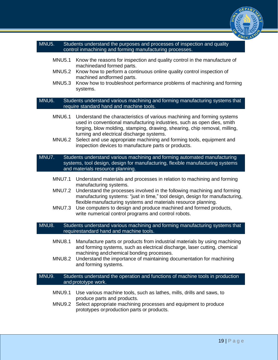

#### MNU5. Students understand the purposes and processes of inspection and quality control inmachining and forming manufacturing processes.

- MNU5.1 Know the reasons for inspection and quality control in the manufacture of machinedand formed parts.
- MNU5.2 Know how to perform a continuous online quality control inspection of machined andformed parts.
- MNU5.3 Know how to troubleshoot performance problems of machining and forming systems.

MNU6. Students understand various machining and forming manufacturing systems that require standard hand and machine tools.

- MNU6.1 Understand the characteristics of various machining and forming systems used in conventional manufacturing industries, such as open dies, smith forging, blow molding, stamping, drawing, shearing, chip removal, milling, turning and electrical discharge systems.
- MNU6.2 Select and use appropriate machining and forming tools, equipment and inspection devices to manufacture parts or products.

MNU7. Students understand various machining and forming automated manufacturing systems, tool design, design for manufacturing, flexible manufacturing systems and materials resource planning.

- MNU7.1 Understand materials and processes in relation to machining and forming manufacturing systems.
- MNU7.2 Understand the processes involved in the following machining and forming manufacturing systems: "just in time," tool design, design for manufacturing, flexible manufacturing systems and materials resource planning.
- MNU7.3 Use computers to design and produce machined and formed products, write numerical control programs and control robots.

MNU8. Students understand various machining and forming manufacturing systems that requirestandard hand and machine tools.

- MNU8.1 Manufacture parts or products from industrial materials by using machining and forming systems, such as electrical discharge, laser cutting, chemical machining and chemical bonding processes.
- MNU8.2 Understand the importance of maintaining documentation for machining and forming systems.

#### MNU9. Students understand the operation and functions of machine tools in production and prototype work.

- MNU9.1 Use various machine tools, such as lathes, mills, drills and saws, to produce parts and products.
- MNU9.2 Select appropriate machining processes and equipment to produce prototypes or production parts or products.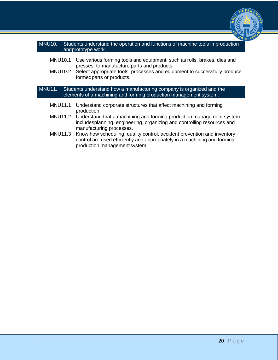

### MNU10. Students understand the operation and functions of machine tools in production andprototype work.

- MNU10.1 Use various forming tools and equipment, such as rolls, brakes, dies and presses, to manufacture parts and products.
- MNU10.2 Select appropriate tools, processes and equipment to successfully produce formed parts or products.

MNU11. Students understand how a manufacturing company is organized and the elements of a machining and forming production management system.

- MNU11.1 Understand corporate structures that affect machining and forming production.
- MNU11.2 Understand that a machining and forming production management system includesplanning, engineering, organizing and controlling resources and manufacturing processes.
- MNU11.3 Know how scheduling, quality control, accident prevention and inventory control are used efficiently and appropriately in a machining and forming production management system.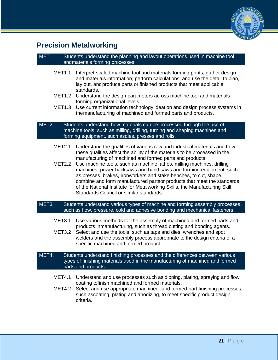

# **Precision Metalworking**

### MET1. Students understand the planning and layout operations used in machine tool andmaterials forming processes.

- MET1.1 Interpret scaled machine tool and materials forming prints; gather design and materials information; perform calculations; and use the detail to plan, lay out, and produce parts or finished products that meet applicable standards.
- MET1.2 Understand the design parameters across machine tool and materialsforming organizational levels.
- MET1.3 Use current information technology ideation and design process systems in the manufacturing of machined and formed parts and products.

### MET2. Students understand how materials can be processed through the use of machine tools, such as milling, drilling, turning and shaping machines and forming equipment, such asdies, presses and rolls.

- MET2.1 Understand the qualities of various raw and industrial materials and how these qualities affect the ability of the materials to be processed in the manufacturing of machined and formed parts and products.
- MET2.2 Use machine tools, such as machine lathes, milling machines, drilling machines, power hacksaws and band saws and forming equipment, such as presses, brakes, ironworkers and stake benches, to cut, shape, combine and form manufactured partsor products that meet the standards of the National Institute for Metalworking Skills, the Manufacturing Skill Standards Council or similar standards.

### MET3. Students understand various types of machine and forming assembly processes, such as flow, pressure, cold and adhesive bonding and mechanical fasteners.

- MET3.1 Use various methods for the assembly of machined and formed parts and products inmanufacturing, such as thread cutting and bonding agents.
- MET3.2 Select and use the tools, such as taps and dies, wrenches and spot welders and the assembly process appropriate to the design criteria of a specific machined and formed product.

#### MET4. Students understand finishing processes and the differences between various types of finishing materials used in the manufacturing of machined and formed parts and products.

- MET4.1 Understand and use processes such as dipping, plating, spraying and flow coating tofinish machined and formed materials.
- MET4.2 Select and use appropriate machined- and formed-part finishing processes, such ascoating, plating and anodizing, to meet specific product design criteria.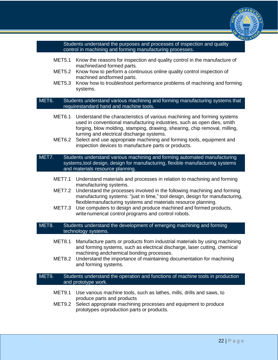

Students understand the purposes and processes of inspection and quality control in machining and forming manufacturing processes.

- MET5.1 Know the reasons for inspection and quality control in the manufacture of machined and formed parts.
- MET5.2 Know how to perform a continuous online quality control inspection of machined and formed parts.
- MET5.3 Know how to troubleshoot performance problems of machining and forming systems.

MET6. Students understand various machining and forming manufacturing systems that requirestandard hand and machine tools.

- MET6.1 Understand the characteristics of various machining and forming systems used in conventional manufacturing industries, such as open dies, smith forging, blow molding, stamping, drawing, shearing, chip removal, milling, turning and electrical discharge systems.
- MET6.2 Select and use appropriate machining and forming tools, equipment and inspection devices to manufacture parts or products.

MET7. Students understand various machining and forming automated manufacturing systems,tool design, design for manufacturing, flexible manufacturing systems and materials resource planning.

- MET7.1 Understand materials and processes in relation to machining and forming manufacturing systems.
- MET7.2 Understand the processes involved in the following machining and forming manufacturing systems: "just in time," tool design, design for manufacturing, flexiblemanufacturing systems and materials resource planning.
- MET7.3 Use computers to design and produce machined and formed products, write numerical control programs and control robots.

MET8. Students understand the development of emerging machining and forming technology systems.

- MET8.1 Manufacture parts or products from industrial materials by using machining and forming systems, such as electrical discharge, laser cutting, chemical machining andchemical bonding processes.
- MET8.2 Understand the importance of maintaining documentation for machining and forming systems.

#### MET9. Students understand the operation and functions of machine tools in production and prototype work.

- MET9.1 Use various machine tools, such as lathes, mills, drills and saws, to produce parts and products
- MET9.2 Select appropriate machining processes and equipment to produce prototypes orproduction parts or products.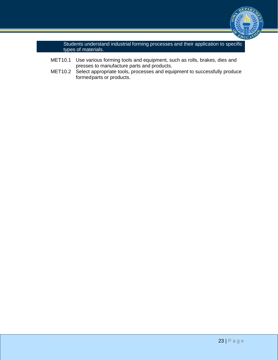

Students understand industrial forming processes and their application to specific types of materials.

- MET10.1 Use various forming tools and equipment, such as rolls, brakes, dies and presses to manufacture parts and products.
- MET10.2 Select appropriate tools, processes and equipment to successfully produce formed parts or products.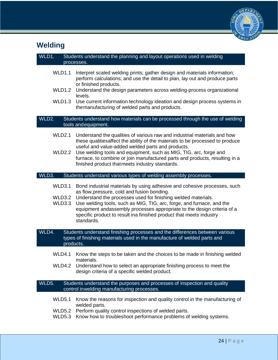

# **Welding**

| WLD1.                                                                                                                           | Students understand the planning and layout operations used in welding<br>processes.                                                                                                                                                                                                                                                                                                                                              |  |  |
|---------------------------------------------------------------------------------------------------------------------------------|-----------------------------------------------------------------------------------------------------------------------------------------------------------------------------------------------------------------------------------------------------------------------------------------------------------------------------------------------------------------------------------------------------------------------------------|--|--|
| WLD1.1<br>WLD1.2<br>WLD1.3                                                                                                      | Interpret scaled welding prints; gather design and materials information;<br>perform calculations; and use the detail to plan, lay out and produce parts<br>or finished products.<br>Understand the design parameters across welding-process organizational<br>levels.<br>Use current information technology ideation and design process systems in<br>the manufacturing of welded parts and products.                            |  |  |
| WLD2.                                                                                                                           | Students understand how materials can be processed through the use of welding<br>tools and equipment.                                                                                                                                                                                                                                                                                                                             |  |  |
| <b>WLD2.1</b><br>WLD2.2                                                                                                         | Understand the qualities of various raw and industrial materials and how<br>these qualities affect the ability of the materials to be processed to produce<br>useful and value-added welded parts and products.<br>Use welding tools and equipment, such as MIG, TIG, arc, forge and<br>furnace, to combine or join manufactured parts and products, resulting in a<br>finished product thatmeets industry standards.             |  |  |
| WLD3.                                                                                                                           | Students understand various types of welding assembly processes.                                                                                                                                                                                                                                                                                                                                                                  |  |  |
| WLD3.1<br>WLD3.2<br>WLD3.3                                                                                                      | Bond industrial materials by using adhesive and cohesive processes, such<br>as flow, pressure, cold and fusion bonding.<br>Understand the processes used for finishing welded materials.<br>Use welding tools, such as MIG, TIG, arc, forge, and furnace, and the<br>equipment andassembly processes appropriate to the design criteria of a<br>specific product to result ina finished product that meets industry<br>standards. |  |  |
| WLD4.                                                                                                                           | Students understand finishing processes and the differences between various<br>types of finishing materials used in the manufacture of welded parts and<br>products.                                                                                                                                                                                                                                                              |  |  |
| WLD4.1<br>WLD4.2                                                                                                                | Know the steps to be taken and the choices to be made in finishing welded<br>materials.<br>Understand how to select an appropriate finishing process to meet the<br>design criteria of a specific welded product.                                                                                                                                                                                                                 |  |  |
| WLD5.<br>Students understand the purposes and processes of inspection and quality<br>control inwelding manufacturing processes. |                                                                                                                                                                                                                                                                                                                                                                                                                                   |  |  |
| <b>WLD5.1</b><br><b>WLD5.2</b><br><b>WLD5.3</b>                                                                                 | Know the reasons for inspection and quality control in the manufacturing of<br>welded parts.<br>Perform quality control inspections of welded parts.<br>Know how to troubleshoot performance problems of welding systems.                                                                                                                                                                                                         |  |  |